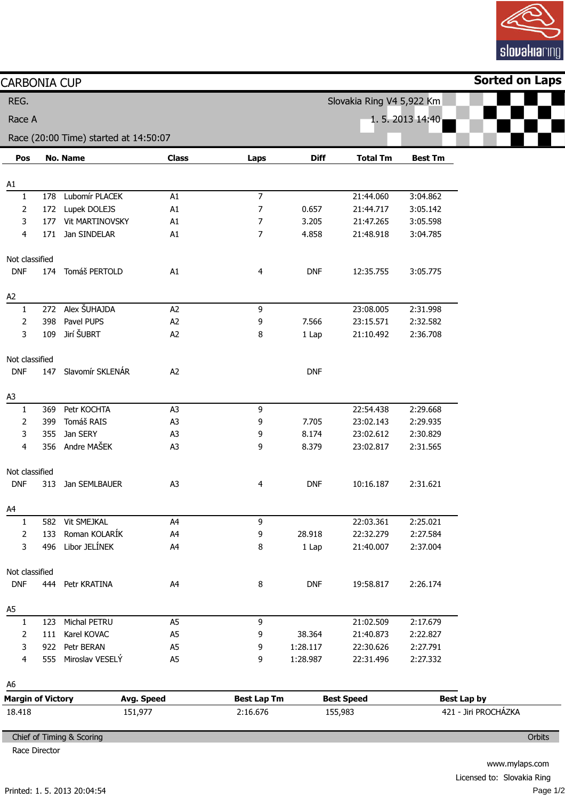

| <b>CARBONIA CUP</b> |                                        |                                       |                    |                   |             |                                            |                | <b>Sorted on Laps</b> |
|---------------------|----------------------------------------|---------------------------------------|--------------------|-------------------|-------------|--------------------------------------------|----------------|-----------------------|
| REG.                |                                        |                                       |                    |                   |             | Slovakia Ring V4 5,922 Km                  |                |                       |
| Race A              |                                        |                                       |                    |                   |             |                                            | 1.5.2013 14:40 |                       |
|                     |                                        | Race (20:00 Time) started at 14:50:07 |                    |                   |             |                                            |                |                       |
| Pos                 |                                        | <b>No. Name</b>                       | <b>Class</b>       | Laps              | <b>Diff</b> | <b>Total Tm</b>                            | <b>Best Tm</b> |                       |
| A1                  |                                        |                                       |                    |                   |             |                                            |                |                       |
| 1                   | 178                                    | Lubomír PLACEK                        | A1                 | $\overline{7}$    |             | 21:44.060                                  | 3:04.862       |                       |
| 2                   | 172                                    | Lupek DOLEJS                          | A1                 | 7                 | 0.657       | 21:44.717                                  | 3:05.142       |                       |
| 3                   |                                        | 177 Vit MARTINOVSKY                   | A1                 | 7                 | 3.205       | 21:47.265                                  | 3:05.598       |                       |
| 4                   | 171                                    | Jan SINDELAR                          | A1                 | 7                 | 4.858       | 21:48.918                                  | 3:04.785       |                       |
| Not classified      |                                        |                                       |                    |                   |             |                                            |                |                       |
| <b>DNF</b>          | 174                                    | Tomáš PERTOLD                         | A1                 | 4                 | <b>DNF</b>  | 12:35.755                                  | 3:05.775       |                       |
| A2                  |                                        |                                       |                    |                   |             |                                            |                |                       |
| 1                   |                                        | 272 Alex ŠUHAJDA                      | A2                 | 9                 |             | 23:08.005                                  | 2:31.998       |                       |
| 2                   | 398                                    | Pavel PUPS                            | A <sub>2</sub>     | 9                 | 7.566       | 23:15.571                                  | 2:32.582       |                       |
| 3                   | 109                                    | Jirí ŠUBRT                            | A2                 | 8                 | 1 Lap       | 21:10.492                                  | 2:36.708       |                       |
| Not classified      |                                        |                                       |                    |                   |             |                                            |                |                       |
| <b>DNF</b>          |                                        | 147 Slavomír SKLENÁR                  | A2                 |                   | <b>DNF</b>  |                                            |                |                       |
| A3                  |                                        |                                       |                    |                   |             |                                            |                |                       |
| 1                   | 369                                    | Petr KOCHTA                           | A <sub>3</sub>     | 9                 |             | 22:54.438                                  | 2:29.668       |                       |
| 2                   | 399                                    | Tomáš RAIS                            | A <sub>3</sub>     | 9                 | 7.705       | 23:02.143                                  | 2:29.935       |                       |
| 3                   | 355                                    | Jan SERY                              | A <sub>3</sub>     | 9                 | 8.174       | 23:02.612                                  | 2:30.829       |                       |
| 4                   |                                        | 356 Andre MAŠEK                       | A <sub>3</sub>     | 9                 | 8.379       | 23:02.817                                  | 2:31.565       |                       |
| Not classified      |                                        |                                       |                    |                   |             |                                            |                |                       |
| <b>DNF</b>          | 313                                    | Jan SEMLBAUER                         | A <sub>3</sub>     | 4                 | <b>DNF</b>  | 10:16.187                                  | 2:31.621       |                       |
| A4                  |                                        |                                       |                    |                   |             |                                            |                |                       |
| 1                   |                                        | 582 Vit SMEJKAL                       | A4                 | 9                 |             | 22:03.361                                  | 2:25.021       |                       |
| 2                   | 133                                    | Roman KOLARÍK                         | A4                 | 9                 | 28.918      | 22:32.279                                  | 2:27.584       |                       |
| 3                   | 496                                    | Libor JELÍNEK                         | A4                 | 8                 | 1 Lap       | 21:40.007                                  | 2:37.004       |                       |
| Not classified      |                                        |                                       |                    |                   |             |                                            |                |                       |
| <b>DNF</b>          |                                        | 444 Petr KRATINA                      | A4                 | 8                 | <b>DNF</b>  | 19:58.817                                  | 2:26.174       |                       |
| A5                  |                                        |                                       |                    |                   |             |                                            |                |                       |
| 1                   | 123                                    | Michal PETRU                          | A <sub>5</sub>     | 9                 |             | 21:02.509                                  | 2:17.679       |                       |
| 2                   | 111                                    | Karel KOVAC                           | A <sub>5</sub>     | 9                 | 38.364      | 21:40.873                                  | 2:22.827       |                       |
| 3                   | 922                                    | Petr BERAN                            | A <sub>5</sub>     | 9                 | 1:28.117    | 22:30.626                                  | 2:27.791       |                       |
| 4                   | 555                                    | Miroslav VESELÝ                       | A <sub>5</sub>     | 9                 | 1:28.987    | 22:31.496                                  | 2:27.332       |                       |
| A6                  |                                        |                                       |                    |                   |             |                                            |                |                       |
|                     | <b>Margin of Victory</b><br>Avg. Speed |                                       | <b>Best Lap Tm</b> | <b>Best Speed</b> |             | <b>Best Lap by</b><br>421 - Jiri PROCHÁZKA |                |                       |

Race Director